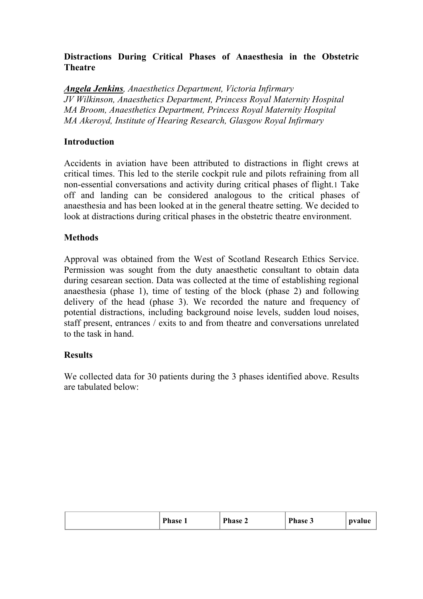# **Distractions During Critical Phases of Anaesthesia in the Obstetric Theatre**

*Angela Jenkins, Anaesthetics Department, Victoria Infirmary JV Wilkinson, Anaesthetics Department, Princess Royal Maternity Hospital MA Broom, Anaesthetics Department, Princess Royal Maternity Hospital MA Akeroyd, Institute of Hearing Research, Glasgow Royal Infirmary*

### **Introduction**

Accidents in aviation have been attributed to distractions in flight crews at critical times. This led to the sterile cockpit rule and pilots refraining from all non-essential conversations and activity during critical phases of flight.1 Take off and landing can be considered analogous to the critical phases of anaesthesia and has been looked at in the general theatre setting. We decided to look at distractions during critical phases in the obstetric theatre environment.

## **Methods**

Approval was obtained from the West of Scotland Research Ethics Service. Permission was sought from the duty anaesthetic consultant to obtain data during cesarean section. Data was collected at the time of establishing regional anaesthesia (phase 1), time of testing of the block (phase 2) and following delivery of the head (phase 3). We recorded the nature and frequency of potential distractions, including background noise levels, sudden loud noises, staff present, entrances / exits to and from theatre and conversations unrelated to the task in hand.

#### **Results**

We collected data for 30 patients during the 3 phases identified above. Results are tabulated below:

| Phase $\angle$<br>$'$ Phase $\sim$<br><b>Phase</b><br>pvalue |
|--------------------------------------------------------------|
|--------------------------------------------------------------|